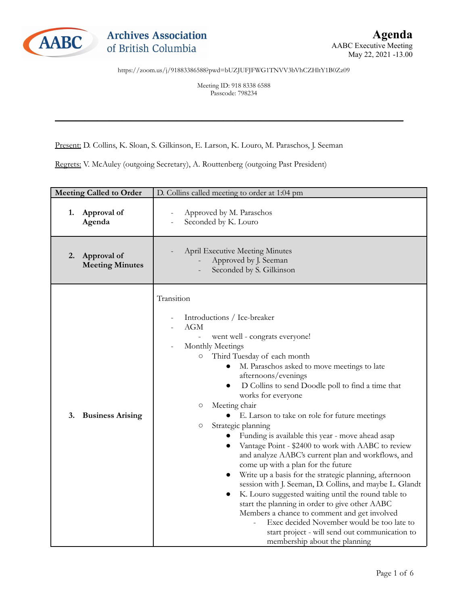

Meeting ID: 918 8338 6588 Passcode: 798234

\_\_\_\_\_\_\_\_\_\_\_\_\_\_\_\_\_\_\_\_\_\_\_\_\_\_\_\_\_\_\_\_\_\_\_\_\_\_\_\_\_\_\_\_\_\_\_\_\_\_\_\_\_\_\_\_\_\_\_\_\_\_\_\_\_\_\_\_\_\_\_\_\_\_\_\_\_\_\_\_\_\_\_

Present: D. Collins, K. Sloan, S. Gilkinson, E. Larson, K. Louro, M. Paraschos, J. Seeman

Regrets: V. McAuley (outgoing Secretary), A. Routtenberg (outgoing Past President)

| <b>Meeting Called to Order</b>              | D. Collins called meeting to order at 1:04 pm                                                                                                                                                                                                                                                                                                                                                                                                                                                                                                                                                                                                                                                                                                                                                                                                                                                                                                                                                                                                                                                                                     |
|---------------------------------------------|-----------------------------------------------------------------------------------------------------------------------------------------------------------------------------------------------------------------------------------------------------------------------------------------------------------------------------------------------------------------------------------------------------------------------------------------------------------------------------------------------------------------------------------------------------------------------------------------------------------------------------------------------------------------------------------------------------------------------------------------------------------------------------------------------------------------------------------------------------------------------------------------------------------------------------------------------------------------------------------------------------------------------------------------------------------------------------------------------------------------------------------|
| 1.<br>Approval of<br>Agenda                 | Approved by M. Paraschos<br>Seconded by K. Louro                                                                                                                                                                                                                                                                                                                                                                                                                                                                                                                                                                                                                                                                                                                                                                                                                                                                                                                                                                                                                                                                                  |
| Approval of<br>2.<br><b>Meeting Minutes</b> | <b>April Executive Meeting Minutes</b><br>Approved by J. Seeman<br>Seconded by S. Gilkinson                                                                                                                                                                                                                                                                                                                                                                                                                                                                                                                                                                                                                                                                                                                                                                                                                                                                                                                                                                                                                                       |
| 3.<br><b>Business Arising</b>               | Transition<br>Introductions / Ice-breaker<br>AGM<br>went well - congrats everyone!<br>$\overline{\phantom{a}}$<br>Monthly Meetings<br>Third Tuesday of each month<br>$\circ$<br>M. Paraschos asked to move meetings to late<br>afternoons/evenings<br>D Collins to send Doodle poll to find a time that<br>$\bullet$<br>works for everyone<br>Meeting chair<br>$\circlearrowright$<br>• E. Larson to take on role for future meetings<br>Strategic planning<br>$\circlearrowright$<br>Funding is available this year - move ahead asap<br>Vantage Point - \$2400 to work with AABC to review<br>$\bullet$<br>and analyze AABC's current plan and workflows, and<br>come up with a plan for the future<br>Write up a basis for the strategic planning, afternoon<br>$\bullet$<br>session with J. Seeman, D. Collins, and maybe L. Glandt<br>K. Louro suggested waiting until the round table to<br>start the planning in order to give other AABC<br>Members a chance to comment and get involved<br>Exec decided November would be too late to<br>start project - will send out communication to<br>membership about the planning |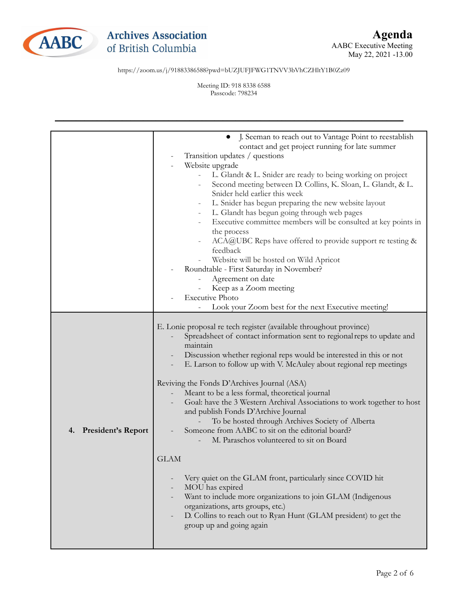

Meeting ID: 918 8338 6588 Passcode: 798234

|                                 | J. Seeman to reach out to Vantage Point to reestablish<br>$\bullet$<br>contact and get project running for late summer<br>Transition updates / questions<br>Website upgrade<br>L. Glandt & L. Snider are ready to being working on project<br>Second meeting between D. Collins, K. Sloan, L. Glandt, & L.<br>Snider held earlier this week<br>L. Snider has begun preparing the new website layout<br>L. Glandt has begun going through web pages<br>Executive committee members will be consulted at key points in<br>the process<br>ACA@UBC Reps have offered to provide support re testing &<br>feedback<br>Website will be hosted on Wild Apricot<br>Roundtable - First Saturday in November?<br>Agreement on date<br>Keep as a Zoom meeting<br><b>Executive Photo</b><br>Look your Zoom best for the next Executive meeting! |
|---------------------------------|------------------------------------------------------------------------------------------------------------------------------------------------------------------------------------------------------------------------------------------------------------------------------------------------------------------------------------------------------------------------------------------------------------------------------------------------------------------------------------------------------------------------------------------------------------------------------------------------------------------------------------------------------------------------------------------------------------------------------------------------------------------------------------------------------------------------------------|
| <b>President's Report</b><br>4. | E. Lonie proposal re tech register (available throughout province)<br>Spreadsheet of contact information sent to regional reps to update and<br>maintain<br>Discussion whether regional reps would be interested in this or not<br>E. Larson to follow up with V. McAuley about regional rep meetings<br>Reviving the Fonds D'Archives Journal (ASA)<br>Meant to be a less formal, theoretical journal<br>Goal: have the 3 Western Archival Associations to work together to host<br>and publish Fonds D'Archive Journal<br>To be hosted through Archives Society of Alberta<br>Someone from AABC to sit on the editorial board?<br>M. Paraschos volunteered to sit on Board<br><b>GLAM</b>                                                                                                                                        |
|                                 | Very quiet on the GLAM front, particularly since COVID hit<br>MOU has expired<br>Want to include more organizations to join GLAM (Indigenous<br>organizations, arts groups, etc.)<br>D. Collins to reach out to Ryan Hunt (GLAM president) to get the<br>group up and going again                                                                                                                                                                                                                                                                                                                                                                                                                                                                                                                                                  |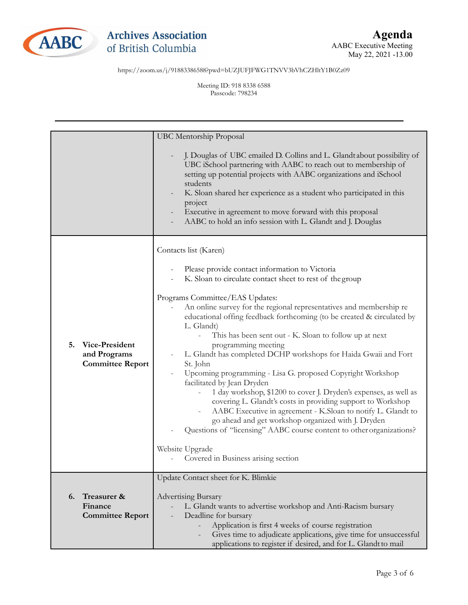

Meeting ID: 918 8338 6588 Passcode: 798234

|                         | <b>UBC</b> Mentorship Proposal                                                                                                                                                                                                                                                                                                                                                                                                           |
|-------------------------|------------------------------------------------------------------------------------------------------------------------------------------------------------------------------------------------------------------------------------------------------------------------------------------------------------------------------------------------------------------------------------------------------------------------------------------|
|                         | J. Douglas of UBC emailed D. Collins and L. Glandt about possibility of<br>UBC iSchool partnering with AABC to reach out to membership of<br>setting up potential projects with AABC organizations and iSchool<br>students<br>K. Sloan shared her experience as a student who participated in this<br>project<br>Executive in agreement to move forward with this proposal<br>AABC to hold an info session with L. Glandt and J. Douglas |
|                         | Contacts list (Karen)                                                                                                                                                                                                                                                                                                                                                                                                                    |
|                         | Please provide contact information to Victoria                                                                                                                                                                                                                                                                                                                                                                                           |
|                         | K. Sloan to circulate contact sheet to rest of the group                                                                                                                                                                                                                                                                                                                                                                                 |
|                         |                                                                                                                                                                                                                                                                                                                                                                                                                                          |
|                         | Programs Committee/EAS Updates:                                                                                                                                                                                                                                                                                                                                                                                                          |
|                         | An online survey for the regional representatives and membership re<br>educational offing feedback forthcoming (to be created & circulated by                                                                                                                                                                                                                                                                                            |
|                         | L. Glandt)                                                                                                                                                                                                                                                                                                                                                                                                                               |
|                         | This has been sent out - K. Sloan to follow up at next                                                                                                                                                                                                                                                                                                                                                                                   |
| Vice-President<br>5.    | programming meeting                                                                                                                                                                                                                                                                                                                                                                                                                      |
| and Programs            | L. Glandt has completed DCHP workshops for Haida Gwaii and Fort                                                                                                                                                                                                                                                                                                                                                                          |
| <b>Committee Report</b> | St. John                                                                                                                                                                                                                                                                                                                                                                                                                                 |
|                         | Upcoming programming - Lisa G. proposed Copyright Workshop<br>facilitated by Jean Dryden                                                                                                                                                                                                                                                                                                                                                 |
|                         | 1 day workshop, \$1200 to cover J. Dryden's expenses, as well as                                                                                                                                                                                                                                                                                                                                                                         |
|                         | covering L. Glandt's costs in providing support to Workshop                                                                                                                                                                                                                                                                                                                                                                              |
|                         | AABC Executive in agreement - K.Sloan to notify L. Glandt to                                                                                                                                                                                                                                                                                                                                                                             |
|                         | go ahead and get workshop organized with J. Dryden                                                                                                                                                                                                                                                                                                                                                                                       |
|                         | Questions of "licensing" AABC course content to other organizations?                                                                                                                                                                                                                                                                                                                                                                     |
|                         | Website Upgrade                                                                                                                                                                                                                                                                                                                                                                                                                          |
|                         | Covered in Business arising section                                                                                                                                                                                                                                                                                                                                                                                                      |
|                         |                                                                                                                                                                                                                                                                                                                                                                                                                                          |
|                         | Update Contact sheet for K. Blimkie                                                                                                                                                                                                                                                                                                                                                                                                      |
| Treasurer &<br>6.       | <b>Advertising Bursary</b>                                                                                                                                                                                                                                                                                                                                                                                                               |
| Finance                 | L. Glandt wants to advertise workshop and Anti-Racism bursary                                                                                                                                                                                                                                                                                                                                                                            |
| <b>Committee Report</b> | Deadline for bursary                                                                                                                                                                                                                                                                                                                                                                                                                     |
|                         | Application is first 4 weeks of course registration                                                                                                                                                                                                                                                                                                                                                                                      |
|                         | Gives time to adjudicate applications, give time for unsuccessful                                                                                                                                                                                                                                                                                                                                                                        |
|                         | applications to register if desired, and for L. Glandt to mail                                                                                                                                                                                                                                                                                                                                                                           |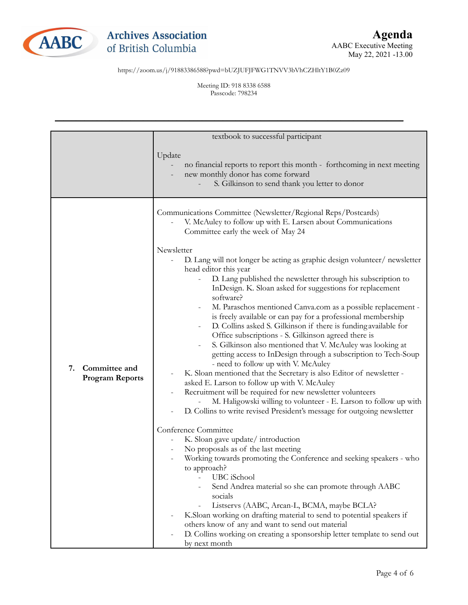

Meeting ID: 918 8338 6588 Passcode: 798234

|                                               | textbook to successful participant                                                                                                                                                                                                                                                                                                                                                                                                                                                                                                                                                                                                                                                                                                                                                                                                                                                                                                                                                                               |
|-----------------------------------------------|------------------------------------------------------------------------------------------------------------------------------------------------------------------------------------------------------------------------------------------------------------------------------------------------------------------------------------------------------------------------------------------------------------------------------------------------------------------------------------------------------------------------------------------------------------------------------------------------------------------------------------------------------------------------------------------------------------------------------------------------------------------------------------------------------------------------------------------------------------------------------------------------------------------------------------------------------------------------------------------------------------------|
|                                               | Update<br>no financial reports to report this month - forthcoming in next meeting<br>new monthly donor has come forward<br>S. Gilkinson to send thank you letter to donor                                                                                                                                                                                                                                                                                                                                                                                                                                                                                                                                                                                                                                                                                                                                                                                                                                        |
| 7.<br>Committee and<br><b>Program Reports</b> | Communications Committee (Newsletter/Regional Reps/Postcards)<br>V. McAuley to follow up with E. Larsen about Communications<br>Committee early the week of May 24<br>Newsletter                                                                                                                                                                                                                                                                                                                                                                                                                                                                                                                                                                                                                                                                                                                                                                                                                                 |
|                                               | D. Lang will not longer be acting as graphic design volunteer/newsletter<br>head editor this year<br>D. Lang published the newsletter through his subscription to<br>InDesign. K. Sloan asked for suggestions for replacement<br>software?<br>M. Paraschos mentioned Canva.com as a possible replacement -<br>is freely available or can pay for a professional membership<br>D. Collins asked S. Gilkinson if there is funding available for<br>Office subscriptions - S. Gilkinson agreed there is<br>S. Gilkinson also mentioned that V. McAuley was looking at<br>getting access to InDesign through a subscription to Tech-Soup<br>- need to follow up with V. McAuley<br>K. Sloan mentioned that the Secretary is also Editor of newsletter -<br>asked E. Larson to follow up with V. McAuley<br>Recruitment will be required for new newsletter volunteers<br>M. Haligowski willing to volunteer - E. Larson to follow up with<br>D. Collins to write revised President's message for outgoing newsletter |
|                                               | Conference Committee<br>K. Sloan gave update/introduction<br>No proposals as of the last meeting<br>Working towards promoting the Conference and seeking speakers - who<br>to approach?<br>UBC iSchool<br>Send Andrea material so she can promote through AABC<br>socials<br>Listservs (AABC, Arcan-L, BCMA, maybe BCLA?<br>K.Sloan working on drafting material to send to potential speakers if<br>others know of any and want to send out material<br>D. Collins working on creating a sponsorship letter template to send out<br>by next month                                                                                                                                                                                                                                                                                                                                                                                                                                                               |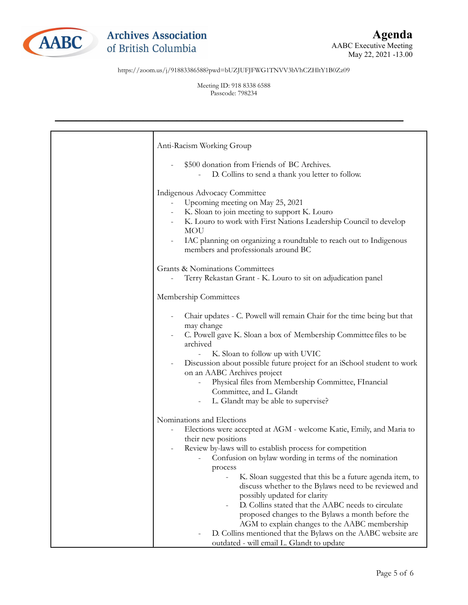

Meeting ID: 918 8338 6588 Passcode: 798234

| Anti-Racism Working Group                                                                                                                                                                                                                                                                                                                                                                                                                                                                                                                                                                                                                                                             |
|---------------------------------------------------------------------------------------------------------------------------------------------------------------------------------------------------------------------------------------------------------------------------------------------------------------------------------------------------------------------------------------------------------------------------------------------------------------------------------------------------------------------------------------------------------------------------------------------------------------------------------------------------------------------------------------|
| \$500 donation from Friends of BC Archives.<br>D. Collins to send a thank you letter to follow.                                                                                                                                                                                                                                                                                                                                                                                                                                                                                                                                                                                       |
| Indigenous Advocacy Committee<br>Upcoming meeting on May 25, 2021<br>K. Sloan to join meeting to support K. Louro<br>K. Louro to work with First Nations Leadership Council to develop<br><b>MOU</b><br>IAC planning on organizing a roundtable to reach out to Indigenous<br>members and professionals around BC                                                                                                                                                                                                                                                                                                                                                                     |
| Grants & Nominations Committees                                                                                                                                                                                                                                                                                                                                                                                                                                                                                                                                                                                                                                                       |
| Terry Rekastan Grant - K. Louro to sit on adjudication panel                                                                                                                                                                                                                                                                                                                                                                                                                                                                                                                                                                                                                          |
| Membership Committees                                                                                                                                                                                                                                                                                                                                                                                                                                                                                                                                                                                                                                                                 |
| Chair updates - C. Powell will remain Chair for the time being but that<br>may change<br>C. Powell gave K. Sloan a box of Membership Committee files to be<br>archived<br>K. Sloan to follow up with UVIC<br>Discussion about possible future project for an iSchool student to work<br>on an AABC Archives project<br>Physical files from Membership Committee, FInancial<br>Committee, and L. Glandt<br>L. Glandt may be able to supervise?                                                                                                                                                                                                                                         |
| Nominations and Elections<br>Elections were accepted at AGM - welcome Katie, Emily, and Maria to<br>their new positions<br>Review by-laws will to establish process for competition<br>Confusion on bylaw wording in terms of the nomination<br>process<br>K. Sloan suggested that this be a future agenda item, to<br>discuss whether to the Bylaws need to be reviewed and<br>possibly updated for clarity<br>D. Collins stated that the AABC needs to circulate<br>proposed changes to the Bylaws a month before the<br>AGM to explain changes to the AABC membership<br>D. Collins mentioned that the Bylaws on the AABC website are<br>outdated - will email L. Glandt to update |